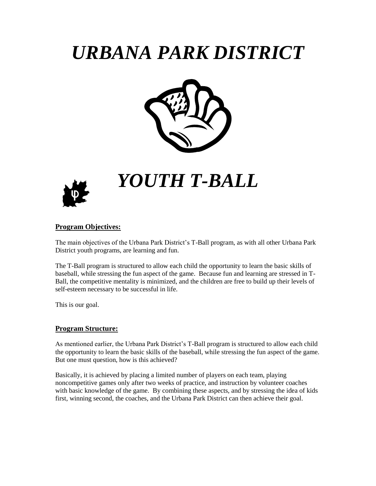# *URBANA PARK DISTRICT*





# *YOUTH T-BALL*

## **Program Objectives:**

The main objectives of the Urbana Park District's T-Ball program, as with all other Urbana Park District youth programs, are learning and fun.

The T-Ball program is structured to allow each child the opportunity to learn the basic skills of baseball, while stressing the fun aspect of the game. Because fun and learning are stressed in T-Ball, the competitive mentality is minimized, and the children are free to build up their levels of self-esteem necessary to be successful in life.

This is our goal.

#### **Program Structure:**

As mentioned earlier, the Urbana Park District's T-Ball program is structured to allow each child the opportunity to learn the basic skills of the baseball, while stressing the fun aspect of the game. But one must question, how is this achieved?

Basically, it is achieved by placing a limited number of players on each team, playing noncompetitive games only after two weeks of practice, and instruction by volunteer coaches with basic knowledge of the game. By combining these aspects, and by stressing the idea of kids first, winning second, the coaches, and the Urbana Park District can then achieve their goal.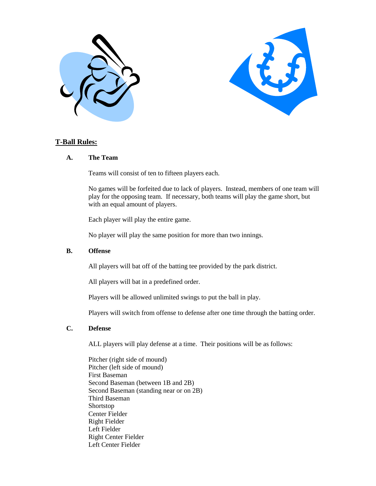



#### **T-Ball Rules:**

#### **A. The Team**

Teams will consist of ten to fifteen players each.

No games will be forfeited due to lack of players. Instead, members of one team will play for the opposing team. If necessary, both teams will play the game short, but with an equal amount of players.

Each player will play the entire game.

No player will play the same position for more than two innings.

#### **B. Offense**

All players will bat off of the batting tee provided by the park district.

All players will bat in a predefined order.

Players will be allowed unlimited swings to put the ball in play.

Players will switch from offense to defense after one time through the batting order.

#### **C. Defense**

ALL players will play defense at a time. Their positions will be as follows:

Pitcher (right side of mound) Pitcher (left side of mound) First Baseman Second Baseman (between 1B and 2B) Second Baseman (standing near or on 2B) Third Baseman Shortstop Center Fielder Right Fielder Left Fielder Right Center Fielder Left Center Fielder